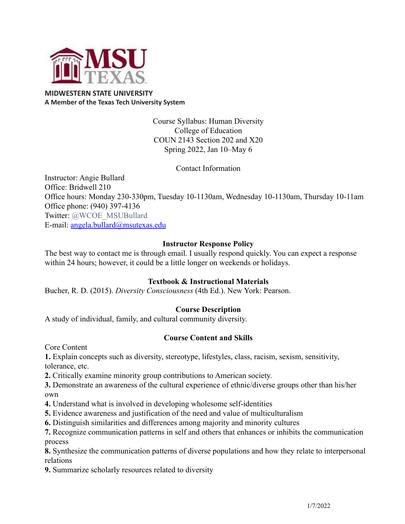

### **MIDWESTERN STATE UNIVERSITY A Member of the Texas Tech University System**

Course Syllabus: Human Diversity College of Education COUN 2143 Section 202 and X20 Spring 2022, Jan 10–May 6

Contact Information

Instructor: Angie Bullard Office: Bridwell 210 Office hours: Monday 230-330pm, Tuesday 10-1130am, Wednesday 10-1130am, Thursday 10-11am Office phone: (940) 397-4136 Twitter: @WCOE\_MSUBullard E-mail: [angela.bullard@msutexas.edu](mailto:angela.bullard@msutexas.edu)

## **Instructor Response Policy**

The best way to contact me is through email. I usually respond quickly. You can expect a response within 24 hours; however, it could be a little longer on weekends or holidays.

## **Textbook & Instructional Materials**

Bucher, R. D. (2015). *Diversity Consciousness* (4th Ed.). New York: Pearson.

# **Course Description**

A study of individual, family, and cultural community diversity.

## **Course Content and Skills**

Core Content

**1.** Explain concepts such as diversity, stereotype, lifestyles, class, racism, sexism, sensitivity, tolerance, etc.

**2.** Critically examine minority group contributions to American society.

**3.** Demonstrate an awareness of the cultural experience of ethnic/diverse groups other than his/her own

- **4.** Understand what is involved in developing wholesome self-identities
- **5.** Evidence awareness and justification of the need and value of multiculturalism
- **6.** Distinguish similarities and differences among majority and minority cultures

**7.** Recognize communication patterns in self and others that enhances or inhibits the communication process

**8.** Synthesize the communication patterns of diverse populations and how they relate to interpersonal relations

**9.** Summarize scholarly resources related to diversity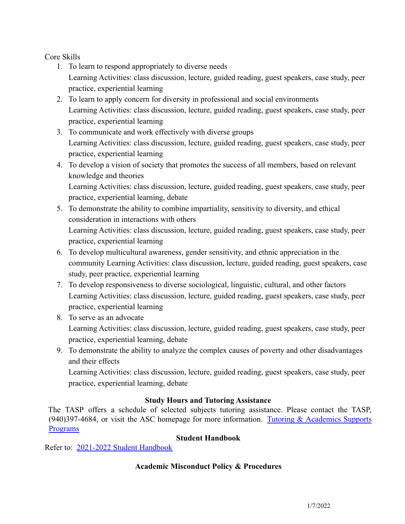Core Skills

- 1. To learn to respond appropriately to diverse needs Learning Activities: class discussion, lecture, guided reading, guest speakers, case study, peer practice, experiential learning
- 2. To learn to apply concern for diversity in professional and social environments Learning Activities: class discussion, lecture, guided reading, guest speakers, case study, peer practice, experiential learning
- 3. To communicate and work effectively with diverse groups Learning Activities: class discussion, lecture, guided reading, guest speakers, case study, peer practice, experiential learning
- 4. To develop a vision of society that promotes the success of all members, based on relevant knowledge and theories Learning Activities: class discussion, lecture, guided reading, guest speakers, case study, peer practice, experiential learning, debate
- 5. To demonstrate the ability to combine impartiality, sensitivity to diversity, and ethical consideration in interactions with others Learning Activities: class discussion, lecture, guided reading, guest speakers, case study, peer practice, experiential learning
- 6. To develop multicultural awareness, gender sensitivity, and ethnic appreciation in the community Learning Activities: class discussion, lecture, guided reading, guest speakers, case study, peer practice, experiential learning
- 7. To develop responsiveness to diverse sociological, linguistic, cultural, and other factors Learning Activities: class discussion, lecture, guided reading, guest speakers, case study, peer practice, experiential learning
- 8. To serve as an advocate

Learning Activities: class discussion, lecture, guided reading, guest speakers, case study, peer practice, experiential learning, debate

9. To demonstrate the ability to analyze the complex causes of poverty and other disadvantages and their effects

Learning Activities: class discussion, lecture, guided reading, guest speakers, case study, peer practice, experiential learning, debate

## **Study Hours and Tutoring Assistance**

The TASP offers a schedule of selected subjects tutoring assistance. Please contact the TASP,  $(940)397-4684$ , or visit the ASC homepage for more information. Tutoring & [Academics](https://msutexas.edu/academics/tasp/on-campus.php) Supports [Programs](https://msutexas.edu/academics/tasp/on-campus.php)

## **Student Handbook**

Refer to: [2021-2022 Student Handbook](https://msutexas.edu/student-life/_assets/files/handbook.pdf)

## **Academic Misconduct Policy & Procedures**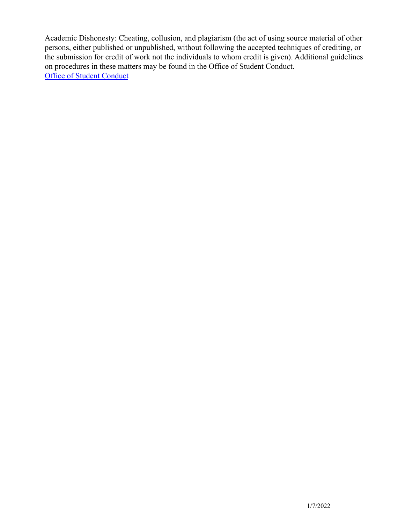Academic Dishonesty: Cheating, collusion, and plagiarism (the act of using source material of other persons, either published or unpublished, without following the accepted techniques of crediting, or the submission for credit of work not the individuals to whom credit is given). Additional guidelines on procedures in these matters may be found in the Office of Student Conduct. [Office of Student Conduct](https://msutexas.edu/student-life/conduct/)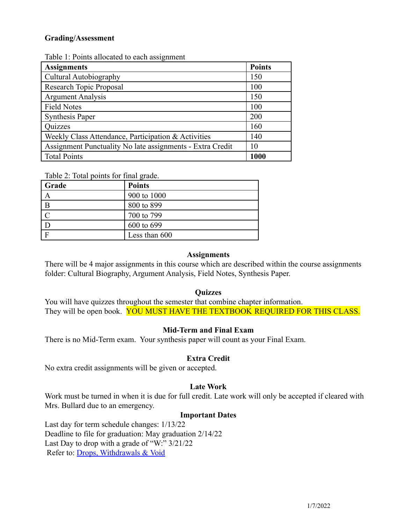#### **Grading/Assessment**

|  |  |  | Table 1: Points allocated to each assignment |  |
|--|--|--|----------------------------------------------|--|
|  |  |  |                                              |  |

| <b>Assignments</b>                                        | <b>Points</b> |
|-----------------------------------------------------------|---------------|
| Cultural Autobiography                                    | 150           |
| Research Topic Proposal                                   | 100           |
| <b>Argument Analysis</b>                                  | 150           |
| <b>Field Notes</b>                                        | 100           |
| <b>Synthesis Paper</b>                                    | 200           |
| Quizzes                                                   | 160           |
| Weekly Class Attendance, Participation & Activities       | 140           |
| Assignment Punctuality No late assignments - Extra Credit | 10            |
| <b>Total Points</b>                                       | 1000          |

Table 2: Total points for final grade.

| Grade | <b>Points</b> |
|-------|---------------|
| A     | 900 to 1000   |
| B     | 800 to 899    |
|       | 700 to 799    |
|       | 600 to 699    |
|       | Less than 600 |

#### **Assignments**

There will be 4 major assignments in this course which are described within the course assignments folder: Cultural Biography, Argument Analysis, Field Notes, Synthesis Paper.

#### **Quizzes**

You will have quizzes throughout the semester that combine chapter information. They will be open book. YOU MUST HAVE THE TEXTBOOK REQUIRED FOR THIS CLASS.

#### **Mid-Term and Final Exam**

There is no Mid-Term exam. Your synthesis paper will count as your Final Exam.

### **Extra Credit**

No extra credit assignments will be given or accepted.

#### **Late Work**

Work must be turned in when it is due for full credit. Late work will only be accepted if cleared with Mrs. Bullard due to an emergency.

## **Important Dates**

Last day for term schedule changes: 1/13/22 Deadline to file for graduation: May graduation 2/14/22 Last Day to drop with a grade of "W:"  $3/21/22$ Refer to: [Drops, Withdrawals & Void](https://msutexas.edu/student-life/dean/withdrawal.php)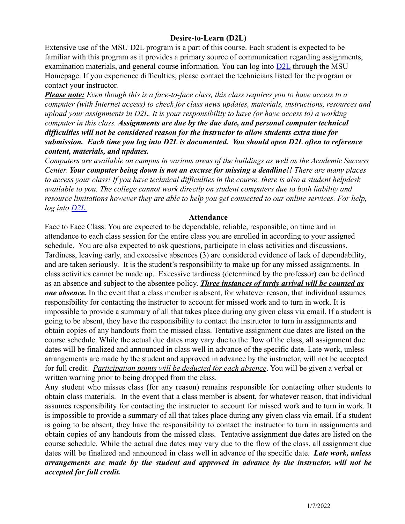### **Desire-to-Learn (D2L)**

Extensive use of the MSU D2L program is a part of this course. Each student is expected to be familiar with this program as it provides a primary source of communication regarding assignments, examination materials, and general course information. You can log into [D2L](https://d2l.msutexas.edu/d2l/login) through the MSU Homepage. If you experience difficulties, please contact the technicians listed for the program or contact your instructor.

*Please note: Even though this is a face-to-face class, this class requires you to have access to a computer (with Internet access) to check for class news updates, materials, instructions, resources and upload your assignments in D2L. It is your responsibility to have (or have access to) a working computer in this class. Assignments are due by the due date, and personal computer technical difficulties will not be considered reason for the instructor to allow students extra time for submission. Each time you log into D2L is documented. You should open D2L often to reference content, materials, and updates.*

*Computers are available on campus in various areas of the buildings as well as the Academic Success Center. Your computer being down is not an excuse for missing a deadline!! There are many places to access your class! If you have technical difficulties in the course, there is also a student helpdesk available to you. The college cannot work directly on student computers due to both liability and resource limitations however they are able to help you get connected to our online services. For help, log into [D2L](https://d2l.msutexas.edu/d2l/login).*

#### **Attendance**

Face to Face Class: You are expected to be dependable, reliable, responsible, on time and in attendance to each class session for the entire class you are enrolled in according to your assigned schedule. You are also expected to ask questions, participate in class activities and discussions. Tardiness, leaving early, and excessive absences (3) are considered evidence of lack of dependability, and are taken seriously. It is the student's responsibility to make up for any missed assignments. In class activities cannot be made up. Excessive tardiness (determined by the professor) can be defined as an absence and subject to the absentee policy. *Three instances of tardy arrival will be counted as one absence.* In the event that a class member is absent, for whatever reason, that individual assumes responsibility for contacting the instructor to account for missed work and to turn in work. It is impossible to provide a summary of all that takes place during any given class via email. If a student is going to be absent, they have the responsibility to contact the instructor to turn in assignments and obtain copies of any handouts from the missed class. Tentative assignment due dates are listed on the course schedule. While the actual due dates may vary due to the flow of the class, all assignment due dates will be finalized and announced in class well in advance of the specific date. Late work, unless arrangements are made by the student and approved in advance by the instructor, will not be accepted for full credit. *Participation points will be deducted for each absence*. You will be given a verbal or written warning prior to being dropped from the class.

Any student who misses class (for any reason) remains responsible for contacting other students to obtain class materials. In the event that a class member is absent, for whatever reason, that individual assumes responsibility for contacting the instructor to account for missed work and to turn in work. It is impossible to provide a summary of all that takes place during any given class via email. If a student is going to be absent, they have the responsibility to contact the instructor to turn in assignments and obtain copies of any handouts from the missed class. Tentative assignment due dates are listed on the course schedule. While the actual due dates may vary due to the flow of the class, all assignment due dates will be finalized and announced in class well in advance of the specific date. *Late work, unless arrangements are made by the student and approved in advance by the instructor, will not be accepted for full credit.*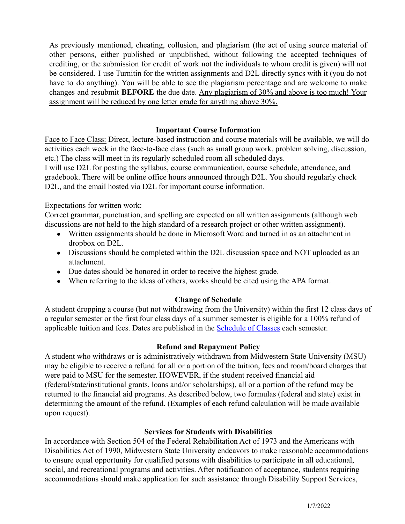As previously mentioned, cheating, collusion, and plagiarism (the act of using source material of other persons, either published or unpublished, without following the accepted techniques of crediting, or the submission for credit of work not the individuals to whom credit is given) will not be considered. I use Turnitin for the written assignments and D2L directly syncs with it (you do not have to do anything). You will be able to see the plagiarism percentage and are welcome to make changes and resubmit **BEFORE** the due date. Any plagiarism of 30% and above is too much! Your assignment will be reduced by one letter grade for anything above 30%.

### **Important Course Information**

Face to Face Class: Direct, lecture-based instruction and course materials will be available, we will do activities each week in the face-to-face class (such as small group work, problem solving, discussion, etc.) The class will meet in its regularly scheduled room all scheduled days.

I will use D2L for posting the syllabus, course communication, course schedule, attendance, and gradebook. There will be online office hours announced through D2L. You should regularly check D2L, and the email hosted via D2L for important course information.

### Expectations for written work:

Correct grammar, punctuation, and spelling are expected on all written assignments (although web discussions are not held to the high standard of a research project or other written assignment).

- Written assignments should be done in Microsoft Word and turned in as an attachment in dropbox on D2L.
- Discussions should be completed within the D2L discussion space and NOT uploaded as an attachment.
- Due dates should be honored in order to receive the highest grade.
- When referring to the ideas of others, works should be cited using the APA format.

## **Change of Schedule**

A student dropping a course (but not withdrawing from the University) within the first 12 class days of a regular semester or the first four class days of a summer semester is eligible for a 100% refund of applicable tuition and fees. Dates are published in the [Schedule of Classes](https://msutexas.edu/registrar/schedule/) each semester.

### **Refund and Repayment Policy**

A student who withdraws or is administratively withdrawn from Midwestern State University (MSU) may be eligible to receive a refund for all or a portion of the tuition, fees and room/board charges that were paid to MSU for the semester. HOWEVER, if the student received financial aid (federal/state/institutional grants, loans and/or scholarships), all or a portion of the refund may be returned to the financial aid programs. As described below, two formulas (federal and state) exist in determining the amount of the refund. (Examples of each refund calculation will be made available upon request).

### **Services for Students with Disabilities**

In accordance with Section 504 of the Federal Rehabilitation Act of 1973 and the Americans with Disabilities Act of 1990, Midwestern State University endeavors to make reasonable accommodations to ensure equal opportunity for qualified persons with disabilities to participate in all educational, social, and recreational programs and activities. After notification of acceptance, students requiring accommodations should make application for such assistance through Disability Support Services,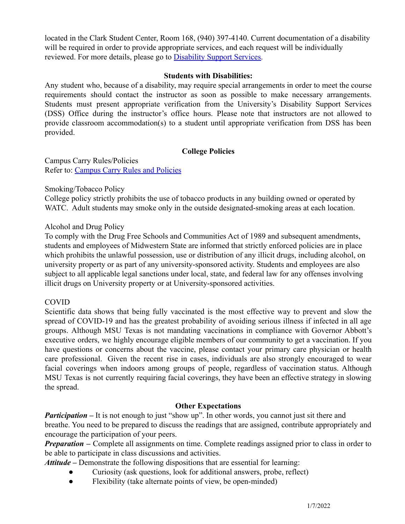located in the Clark Student Center, Room 168, (940) 397-4140. Current documentation of a disability will be required in order to provide appropriate services, and each request will be individually reviewed. For more details, please go to Disability [Support Services.](https://msutexas.edu/student-life/disability/)

#### **Students with Disabilities:**

Any student who, because of a disability, may require special arrangements in order to meet the course requirements should contact the instructor as soon as possible to make necessary arrangements. Students must present appropriate verification from the University's Disability Support Services (DSS) Office during the instructor's office hours. Please note that instructors are not allowed to provide classroom accommodation(s) to a student until appropriate verification from DSS has been provided.

### **College Policies**

Campus Carry Rules/Policies Refer to: [Campus Carry Rules and Policies](https://msutexas.edu/campus-carry/index.php)

Smoking/Tobacco Policy

College policy strictly prohibits the use of tobacco products in any building owned or operated by WATC. Adult students may smoke only in the outside designated-smoking areas at each location.

### Alcohol and Drug Policy

To comply with the Drug Free Schools and Communities Act of 1989 and subsequent amendments, students and employees of Midwestern State are informed that strictly enforced policies are in place which prohibits the unlawful possession, use or distribution of any illicit drugs, including alcohol, on university property or as part of any university-sponsored activity. Students and employees are also subject to all applicable legal sanctions under local, state, and federal law for any offenses involving illicit drugs on University property or at University-sponsored activities.

### COVID

Scientific data shows that being fully vaccinated is the most effective way to prevent and slow the spread of COVID-19 and has the greatest probability of avoiding serious illness if infected in all age groups. Although MSU Texas is not mandating vaccinations in compliance with Governor Abbott's executive orders, we highly encourage eligible members of our community to get a vaccination. If you have questions or concerns about the vaccine, please contact your primary care physician or health care professional. Given the recent rise in cases, individuals are also strongly encouraged to wear facial coverings when indoors among groups of people, regardless of vaccination status. Although MSU Texas is not currently requiring facial coverings, they have been an effective strategy in slowing the spread.

### **Other Expectations**

*Participation* – It is not enough to just "show up". In other words, you cannot just sit there and breathe. You need to be prepared to discuss the readings that are assigned, contribute appropriately and encourage the participation of your peers.

*Preparation* – Complete all assignments on time. Complete readings assigned prior to class in order to be able to participate in class discussions and activities.

*Attitude –* Demonstrate the following dispositions that are essential for learning:

- Curiosity (ask questions, look for additional answers, probe, reflect)
- Flexibility (take alternate points of view, be open-minded)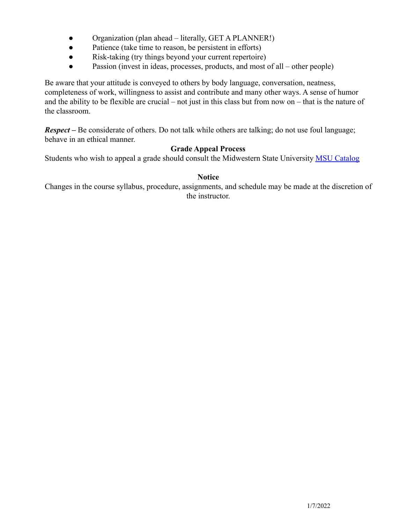- Organization (plan ahead literally, GET A PLANNER!)
- Patience (take time to reason, be persistent in efforts)
- Risk-taking (try things beyond your current repertoire)
- Passion (invest in ideas, processes, products, and most of all other people)

Be aware that your attitude is conveyed to others by body language, conversation, neatness, completeness of work, willingness to assist and contribute and many other ways. A sense of humor and the ability to be flexible are crucial – not just in this class but from now on – that is the nature of the classroom.

*Respect* – Be considerate of others. Do not talk while others are talking; do not use foul language; behave in an ethical manner.

#### **Grade Appeal Process**

Students who wish to appeal a grade should consult the Midwestern State University [MSU Catalog](https://msutexas.edu/registrar/catalog/)

#### **Notice**

Changes in the course syllabus, procedure, assignments, and schedule may be made at the discretion of the instructor.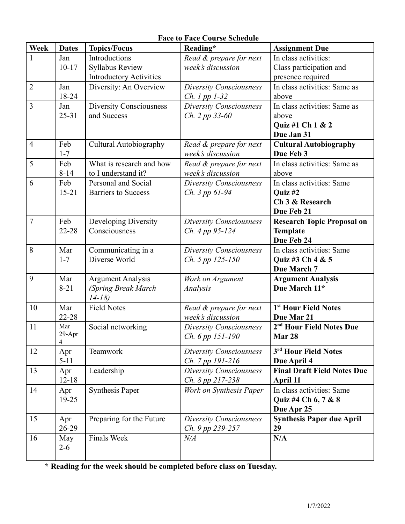| <b>Face to Face Course Schedule</b> |                 |                                |                                |                                      |  |
|-------------------------------------|-----------------|--------------------------------|--------------------------------|--------------------------------------|--|
| <b>Week</b>                         | <b>Dates</b>    | <b>Topics/Focus</b>            | Reading*                       | <b>Assignment Due</b>                |  |
| 1                                   | Jan             | Introductions                  | Read & prepare for next        | In class activities:                 |  |
|                                     | $10 - 17$       | Syllabus Review                | week's discussion              | Class participation and              |  |
|                                     |                 | <b>Introductory Activities</b> |                                | presence required                    |  |
| $\overline{2}$                      | Jan             | Diversity: An Overview         | <b>Diversity Consciousness</b> | In class activities: Same as         |  |
|                                     | 18-24           |                                | <i>Ch. 1 pp 1-32</i>           | above                                |  |
| 3                                   | Jan             | Diversity Consciousness        | Diversity Consciousness        | In class activities: Same as         |  |
|                                     | $25 - 31$       | and Success                    | Ch. 2 pp 33-60                 | above                                |  |
|                                     |                 |                                |                                | Quiz #1 Ch 1 & 2                     |  |
|                                     |                 |                                |                                | Due Jan 31                           |  |
| $\overline{4}$                      | Feb             | <b>Cultural Autobiography</b>  | Read & prepare for next        | <b>Cultural Autobiography</b>        |  |
|                                     | $1 - 7$         |                                | week's discussion              | Due Feb 3                            |  |
| 5                                   | Feb             | What is research and how       | Read & prepare for next        | In class activities: Same as         |  |
|                                     | $8 - 14$        | to I understand it?            | week's discussion              | above                                |  |
| 6                                   | Feb             | Personal and Social            | Diversity Consciousness        | In class activities: Same            |  |
|                                     | $15 - 21$       | <b>Barriers to Success</b>     | Ch. 3 pp 61-94                 | Quiz #2                              |  |
|                                     |                 |                                |                                | Ch 3 & Research                      |  |
|                                     |                 |                                |                                | Due Feb 21                           |  |
| $\tau$                              | Feb             | Developing Diversity           | Diversity Consciousness        | <b>Research Topic Proposal on</b>    |  |
|                                     | 22-28           | Consciousness                  | Ch. 4 pp 95-124                | <b>Template</b>                      |  |
|                                     |                 |                                |                                | Due Feb 24                           |  |
| 8                                   | Mar             | Communicating in a             | <b>Diversity Consciousness</b> | In class activities: Same            |  |
|                                     | $1 - 7$         | Diverse World                  | Ch. 5 pp 125-150               | Quiz #3 Ch 4 & 5                     |  |
|                                     |                 |                                |                                | Due March 7                          |  |
| 9                                   | Mar             | <b>Argument Analysis</b>       | Work on Argument               | <b>Argument Analysis</b>             |  |
|                                     | $8 - 21$        | (Spring Break March            | Analysis                       | Due March 11*                        |  |
|                                     |                 | $14 - 18$                      |                                |                                      |  |
| 10                                  | Mar             | <b>Field Notes</b>             | Read & prepare for next        | 1 <sup>st</sup> Hour Field Notes     |  |
|                                     | 22-28           |                                | week's discussion              | Due Mar 21                           |  |
| 11                                  | Mar             | Social networking              | Diversity Consciousness        | 2 <sup>nd</sup> Hour Field Notes Due |  |
|                                     | $29-Apr$        |                                | Ch. 6 pp 151-190               | Mar 28                               |  |
| 12                                  |                 | Teamwork                       |                                | 3rd Hour Field Notes                 |  |
|                                     | Apr<br>$5 - 11$ |                                | <b>Diversity Consciousness</b> |                                      |  |
|                                     |                 |                                | Ch. 7 pp 191-216               | Due April 4                          |  |
| 13                                  | Apr             | Leadership                     | Diversity Consciousness        | <b>Final Draft Field Notes Due</b>   |  |
|                                     | $12 - 18$       |                                | Ch. 8 pp 217-238               | April 11                             |  |
| 14                                  | Apr             | <b>Synthesis Paper</b>         | Work on Synthesis Paper        | In class activities: Same            |  |
|                                     | 19-25           |                                |                                | Quiz #4 Ch 6, 7 & 8                  |  |
|                                     |                 |                                |                                | Due Apr 25                           |  |
| 15                                  | Apr             | Preparing for the Future       | <b>Diversity Consciousness</b> | <b>Synthesis Paper due April</b>     |  |
|                                     | 26-29           |                                | Ch. 9 pp 239-257               | 29                                   |  |
| 16                                  | May             | Finals Week                    | $N\!/\!A$                      | N/A                                  |  |
|                                     | $2 - 6$         |                                |                                |                                      |  |
|                                     |                 |                                |                                |                                      |  |

**\* Reading for the week should be completed before class on Tuesday.**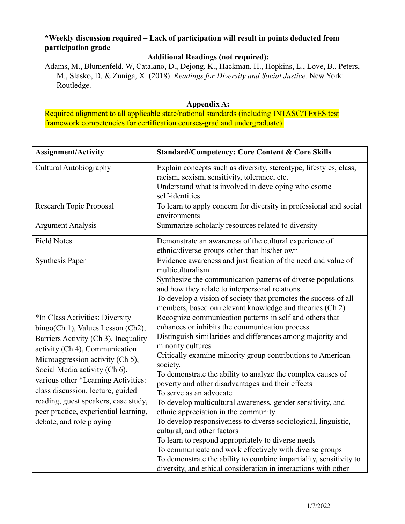## **\*Weekly discussion required – Lack of participation will result in points deducted from participation grade**

#### **Additional Readings (not required):**

Adams, M., Blumenfeld, W, Catalano, D., Dejong, K., Hackman, H., Hopkins, L., Love, B., Peters, M., Slasko, D. & Zuniga, X. (2018). *Readings for Diversity and Social Justice.* New York: Routledge.

#### **Appendix A:**

Required alignment to all applicable state/national standards (including INTASC/TExES test framework competencies for certification courses-grad and undergraduate).

| <b>Assignment/Activity</b>                                                                                                                                                                                                                                                                                                                                                                                   | <b>Standard/Competency: Core Content &amp; Core Skills</b>                                                                                                                                                                                                                                                                                                                                                                                                                                                                                                                                                                                                                                                                                                                                                                                                                                 |
|--------------------------------------------------------------------------------------------------------------------------------------------------------------------------------------------------------------------------------------------------------------------------------------------------------------------------------------------------------------------------------------------------------------|--------------------------------------------------------------------------------------------------------------------------------------------------------------------------------------------------------------------------------------------------------------------------------------------------------------------------------------------------------------------------------------------------------------------------------------------------------------------------------------------------------------------------------------------------------------------------------------------------------------------------------------------------------------------------------------------------------------------------------------------------------------------------------------------------------------------------------------------------------------------------------------------|
| Cultural Autobiography                                                                                                                                                                                                                                                                                                                                                                                       | Explain concepts such as diversity, stereotype, lifestyles, class,<br>racism, sexism, sensitivity, tolerance, etc.<br>Understand what is involved in developing wholesome<br>self-identities                                                                                                                                                                                                                                                                                                                                                                                                                                                                                                                                                                                                                                                                                               |
| Research Topic Proposal                                                                                                                                                                                                                                                                                                                                                                                      | To learn to apply concern for diversity in professional and social<br>environments                                                                                                                                                                                                                                                                                                                                                                                                                                                                                                                                                                                                                                                                                                                                                                                                         |
| <b>Argument Analysis</b>                                                                                                                                                                                                                                                                                                                                                                                     | Summarize scholarly resources related to diversity                                                                                                                                                                                                                                                                                                                                                                                                                                                                                                                                                                                                                                                                                                                                                                                                                                         |
| <b>Field Notes</b>                                                                                                                                                                                                                                                                                                                                                                                           | Demonstrate an awareness of the cultural experience of<br>ethnic/diverse groups other than his/her own                                                                                                                                                                                                                                                                                                                                                                                                                                                                                                                                                                                                                                                                                                                                                                                     |
| <b>Synthesis Paper</b>                                                                                                                                                                                                                                                                                                                                                                                       | Evidence awareness and justification of the need and value of<br>multiculturalism<br>Synthesize the communication patterns of diverse populations<br>and how they relate to interpersonal relations<br>To develop a vision of society that promotes the success of all<br>members, based on relevant knowledge and theories (Ch 2)                                                                                                                                                                                                                                                                                                                                                                                                                                                                                                                                                         |
| *In Class Activities: Diversity<br>bingo(Ch 1), Values Lesson (Ch2),<br>Barriers Activity (Ch 3), Inequality<br>activity (Ch 4), Communication<br>Microaggression activity (Ch 5),<br>Social Media activity (Ch 6),<br>various other *Learning Activities:<br>class discussion, lecture, guided<br>reading, guest speakers, case study,<br>peer practice, experiential learning,<br>debate, and role playing | Recognize communication patterns in self and others that<br>enhances or inhibits the communication process<br>Distinguish similarities and differences among majority and<br>minority cultures<br>Critically examine minority group contributions to American<br>society.<br>To demonstrate the ability to analyze the complex causes of<br>poverty and other disadvantages and their effects<br>To serve as an advocate<br>To develop multicultural awareness, gender sensitivity, and<br>ethnic appreciation in the community<br>To develop responsiveness to diverse sociological, linguistic,<br>cultural, and other factors<br>To learn to respond appropriately to diverse needs<br>To communicate and work effectively with diverse groups<br>To demonstrate the ability to combine impartiality, sensitivity to<br>diversity, and ethical consideration in interactions with other |